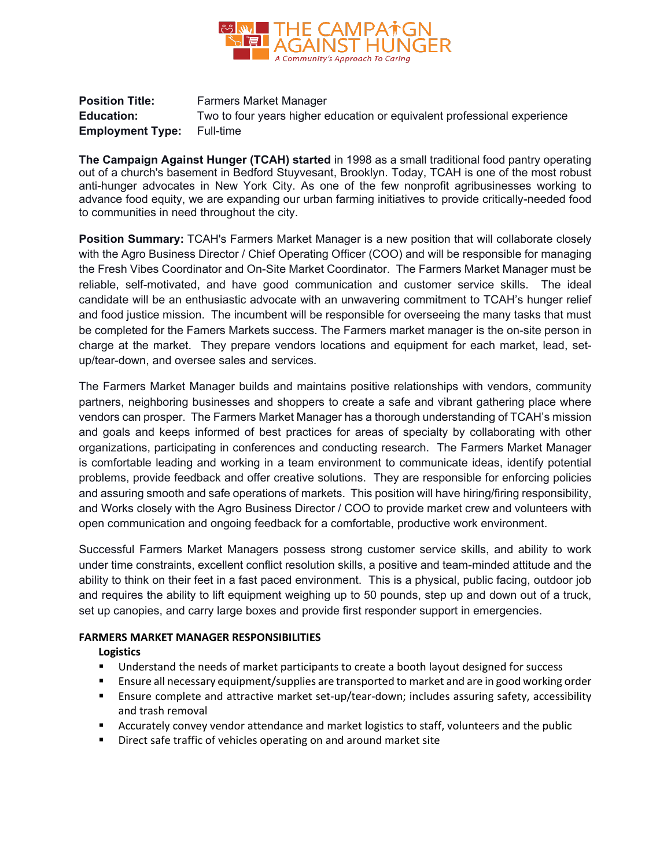

**Position Title:** Farmers Market Manager **Education:** Two to four years higher education or equivalent professional experience **Employment Type:** Full-time

**The Campaign Against Hunger (TCAH) started** in 1998 as a small traditional food pantry operating out of a church's basement in Bedford Stuyvesant, Brooklyn. Today, TCAH is one of the most robust anti-hunger advocates in New York City. As one of the few nonprofit agribusinesses working to advance food equity, we are expanding our urban farming initiatives to provide critically-needed food to communities in need throughout the city.

**Position Summary:** TCAH's Farmers Market Manager is a new position that will collaborate closely with the Agro Business Director / Chief Operating Officer (COO) and will be responsible for managing the Fresh Vibes Coordinator and On-Site Market Coordinator. The Farmers Market Manager must be reliable, self-motivated, and have good communication and customer service skills. The ideal candidate will be an enthusiastic advocate with an unwavering commitment to TCAH's hunger relief and food justice mission. The incumbent will be responsible for overseeing the many tasks that must be completed for the Famers Markets success. The Farmers market manager is the on-site person in charge at the market. They prepare vendors locations and equipment for each market, lead, setup/tear-down, and oversee sales and services.

The Farmers Market Manager builds and maintains positive relationships with vendors, community partners, neighboring businesses and shoppers to create a safe and vibrant gathering place where vendors can prosper. The Farmers Market Manager has a thorough understanding of TCAH's mission and goals and keeps informed of best practices for areas of specialty by collaborating with other organizations, participating in conferences and conducting research. The Farmers Market Manager is comfortable leading and working in a team environment to communicate ideas, identify potential problems, provide feedback and offer creative solutions. They are responsible for enforcing policies and assuring smooth and safe operations of markets. This position will have hiring/firing responsibility, and Works closely with the Agro Business Director / COO to provide market crew and volunteers with open communication and ongoing feedback for a comfortable, productive work environment.

Successful Farmers Market Managers possess strong customer service skills, and ability to work under time constraints, excellent conflict resolution skills, a positive and team-minded attitude and the ability to think on their feet in a fast paced environment. This is a physical, public facing, outdoor job and requires the ability to lift equipment weighing up to 50 pounds, step up and down out of a truck, set up canopies, and carry large boxes and provide first responder support in emergencies.

## **FARMERS MARKET MANAGER RESPONSIBILITIES**

#### **Logistics**

- Understand the needs of market participants to create a booth layout designed for success
- Ensure all necessary equipment/supplies are transported to market and are in good working order
- Ensure complete and attractive market set-up/tear-down; includes assuring safety, accessibility and trash removal
- Accurately convey vendor attendance and market logistics to staff, volunteers and the public
- **Direct safe traffic of vehicles operating on and around market site**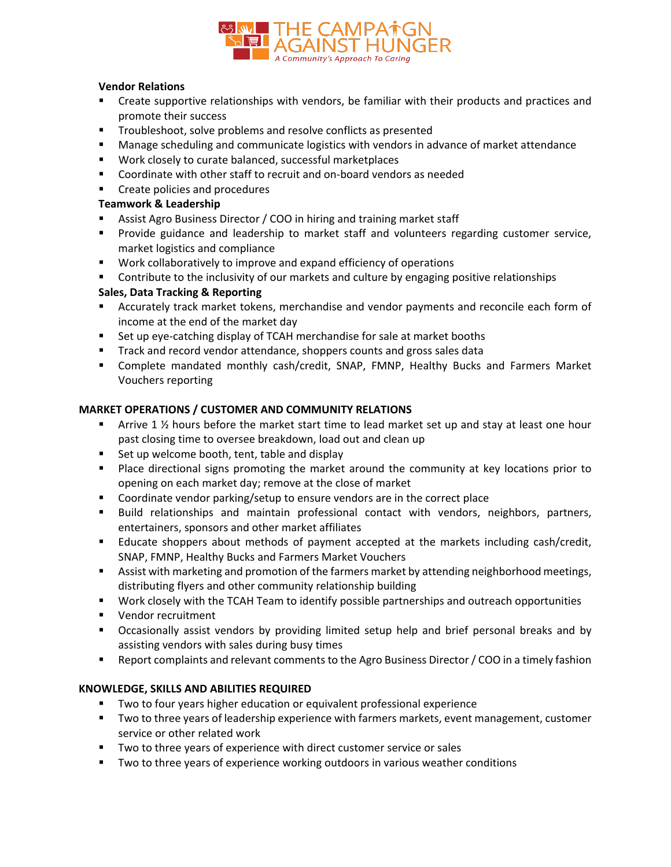

#### **Vendor Relations**

- **EXP** Create supportive relationships with vendors, be familiar with their products and practices and promote their success
- **Troubleshoot, solve problems and resolve conflicts as presented**
- **Manage scheduling and communicate logistics with vendors in advance of market attendance**
- **Work closely to curate balanced, successful marketplaces**
- Coordinate with other staff to recruit and on-board vendors as needed
- **EXECT** Create policies and procedures

## **Teamwork & Leadership**

- Assist Agro Business Director / COO in hiring and training market staff
- **Provide guidance and leadership to market staff and volunteers regarding customer service,** market logistics and compliance
- Work collaboratively to improve and expand efficiency of operations
- **Contribute to the inclusivity of our markets and culture by engaging positive relationships**

# **Sales, Data Tracking & Reporting**

- Accurately track market tokens, merchandise and vendor payments and reconcile each form of income at the end of the market day
- Set up eye-catching display of TCAH merchandise for sale at market booths
- Track and record vendor attendance, shoppers counts and gross sales data
- Complete mandated monthly cash/credit, SNAP, FMNP, Healthy Bucks and Farmers Market Vouchers reporting

#### **MARKET OPERATIONS / CUSTOMER AND COMMUNITY RELATIONS**

- **•** Arrive 1  $\frac{1}{2}$  hours before the market start time to lead market set up and stay at least one hour past closing time to oversee breakdown, load out and clean up
- Set up welcome booth, tent, table and display
- Place directional signs promoting the market around the community at key locations prior to opening on each market day; remove at the close of market
- **Coordinate vendor parking/setup to ensure vendors are in the correct place**
- Build relationships and maintain professional contact with vendors, neighbors, partners, entertainers, sponsors and other market affiliates
- Educate shoppers about methods of payment accepted at the markets including cash/credit, SNAP, FMNP, Healthy Bucks and Farmers Market Vouchers
- **Assist with marketing and promotion of the farmers market by attending neighborhood meetings,** distributing flyers and other community relationship building
- Work closely with the TCAH Team to identify possible partnerships and outreach opportunities
- **Vendor recruitment**
- Occasionally assist vendors by providing limited setup help and brief personal breaks and by assisting vendors with sales during busy times
- Report complaints and relevant comments to the Agro Business Director / COO in a timely fashion

# **KNOWLEDGE, SKILLS AND ABILITIES REQUIRED**

- **Two to four years higher education or equivalent professional experience**
- Two to three years of leadership experience with farmers markets, event management, customer service or other related work
- Two to three years of experience with direct customer service or sales
- **TWO to three years of experience working outdoors in various weather conditions**